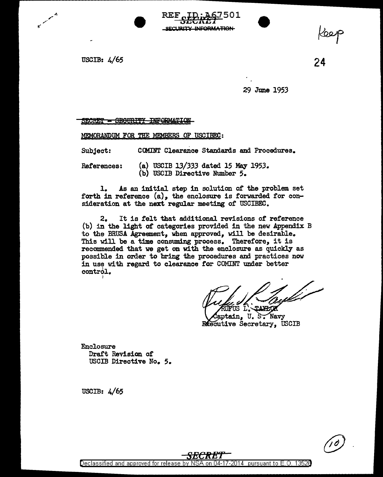USCIB: 4/65

24

29 June 1953

SECRET - SECURITY INFORMATION

MEMORANDUM FOR THE MEM8ERS OF USCIBEC:

Subject: COMINT Clearance Standards and Procedures.

References:

(a) USCIB 13/333 dated 15 May 1953. (b) USCIB Directive Number 5.

REF cHD; 467501 ., *3BCRE1* SECURITY INFORMATION

1. As an initial step in solution of the problem set forth in reference  $(a)$ , the enclosure is forwarded for consideration at the next regular meeting of USCIBEC.

2. It is felt that additional revisions or reference (b) in the light of categories provided in the new Appendix B to the BRUSA Agreement, when approved, will be desirable. This will be a time consuming process. Therefore, it is recommended that we get on with the enclosure as quickly as possible in order to bring the procedures and practices now in use with regard to clearance for COMINT under better  $control.$ I

 $\mu, \mu, \nu, \mu, \nu$ UFUS L.~TAXEOK

aptain, U. S. Navy **Executive Secretary, USCIB** 

Enclosure Draft Revision of USCIB Directive No. *5.* 

USCIB: 4/65



*SECRET*  Declassified and approved for release by NSA on 04-17-2014 pursuant to E.O. 1352B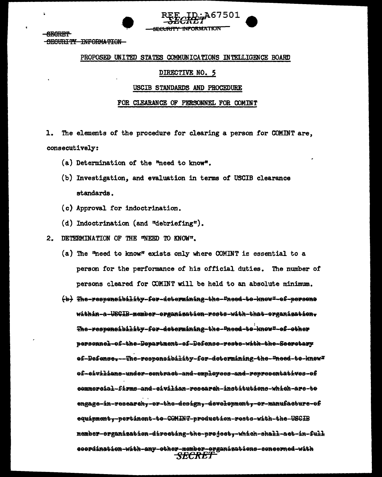

# PROPOSED UNITED STATES COMMUNICATIONS INTELLIGENCE BOARD

# DIRECTIVE NO. 5

### USCIB STANDARDS AND PROCEDURE

# FOR CLEARANCE OF PERSONNEL FOR COMINT

The elements of the procedure for clearing a person for COMINT are. 1. consecutively:

- (a) Determination of the "need to know".
- (b) Investigation, and evaluation in terms of USCIB clearance standards.
- (c) Approval for indoctrination.
- (d) Indoctrination (and "debriefing").
- 2. DETERMINATION OF THE "NEED TO KNOW".
	- (a) The "need to know" exists only where COMINT is essential to a person for the performance of his official duties. The number of persons cleared for COMINT will be held to an absolute minimum.
	- (b) The-responsibility-for-determining-the-"need-to-knew"-ef-persons within-a-USGIB-member-erganipatien-rests-with-that-erganipatien-The-responsibility-fer-determining-the-Pneed-te-know"-ef-ether personnel-ef-the-Department-ef-Defense-rests-with-the-Seeretary ef-Defense..-The-responsibility-fer-determining-the-"need-te-knew" 0f-eivilians-under-sentract-and-employees-and-representatives-of eemmereial-firms-and-eivilian-research-institutions-which-ars-te engage-in-research--er-the-design--development--er-manufacture-ef equipmenty-pertinent-te-COMINT-preduction-rests-with-the-USCIB member-organisation-directing-the-project,-which-shall-act-in-full doordination-with-any-other-member-erganisations-concerned-with *SECRET*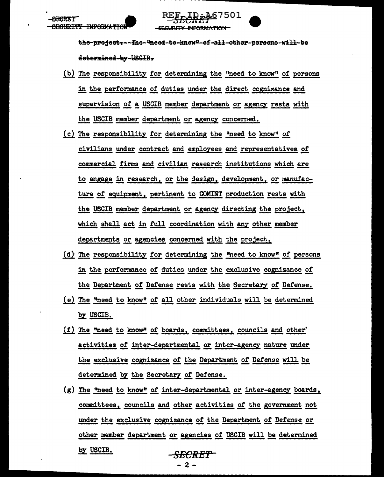<del>BECURITY INFORMATION</del>

the-predet---The-"need-te-knew"-ef-all-other-persons-will-be determined-by-USGIB-

**SECURITY INFORMATION** 

**:A67501** 

- (b) The responsibility for determining the "need to know" of persons in the performance of duties under the direct cognizance and supervision of a USCIB member department or agency rests with the USCIB member department or agency concerned.
- (c) The responsibility for determining the "need to know" of civilians under contract and employees and representatives of commercial firms and civilian research institutions which are to engage in research, or the design, development, or manufacture of equipment, pertinent to COMINT production rests with the USCIB member department or agency directing the project, which shall act in full coordination with any other member departments or agencies concerned with the project.
- (d) The responsibility for determining the "need to know" of persons in the performance of duties under the exclusive cognizance of the Department of Defense rests with the Secretary of Defense.
- (e) The "need to know" of all other individuals will be determined by USCIB.
- (f) The "need to know" of boards, committees, councils and other' activities of inter-departmental or inter-agency nature under the exclusive cognizance of the Department of Defense will be determined by the Secretary of Defense.
- (g) The "need to know" of inter-departmental or inter-agency boards, committees, councils and other activities of the government not under the exclusive cognizance of the Department of Defense or other member department or agencies of USCIB will be determined by USCIB. <del>-SECRET -</del>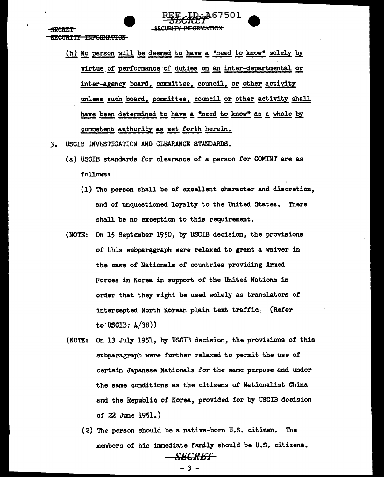<del>URITY INFORMATION</del>

(h) No person will be deemed to have a "need to know" solely by virtue of performance of duties on an inter-departmental or inter-agency board, committee, council, or other activity unless such board, committee, council or other activity shall have been determined to have a "need to know" as a whole by competent authority as set forth herein.

7501

- USCIB INVESTIGATION AND CLEARANCE STANDARDS.  $3<sub>1</sub>$ 
	- (a) USCIB standards for clearance of a person for COMINT are as follows:
		- (1) The person shall be of excellent character and discretion. and of unquestioned loyalty to the United States. There shall be no exception to this requirement.
	- (NOTE: On 15 September 1950, by USCIB decision, the provisions of this subparagraph were relaxed to grant a waiver in the case of Nationals of countries providing Armed Forces in Korea in support of the United Nations in order that they might be used solely as translators of intercepted North Korean plain text traffic. (Refer to USCIB:  $4/38$ )
	- On 13 July 1951, by USCIB decision, the provisions of this  $(NOTE:$ subparagraph were further relaxed to permit the use of certain Japanese Nationals for the same purpose and under the same conditions as the citizens of Nationalist China and the Republic of Korea, provided for by USCIB decision of 22 June  $1951.$ )
		- (2) The person should be a native-born U.S. citizen. The members of his immediate family should be U.S. citizens. SEGRET

 $-3-$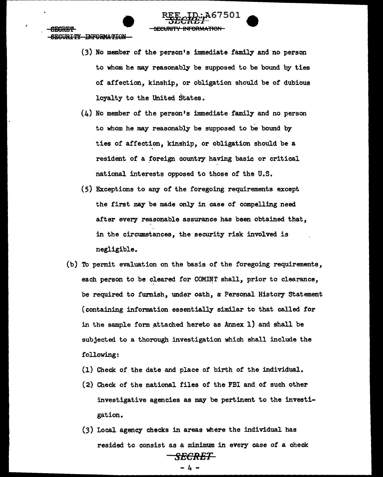SECURITY INFORMATION

ARARF.T

 $(3)$  No member of the person's immediate family and no person to whom he may reasonably be supposed to be bound by ties of affection, kinship, or obligation should be of dubious loyalty to the United States.

<del>SECURITY INFORMATION</del>

 $~\frac{\text{REE}-\text{LDF}}{\text{SECHE1}}$  extending

- $(4)$  No member of the person's immediate family and no person to whom he may reasonably be supposed to be bound by ties of affection, kinship, or obligation should be a resident of a foreign country having basic or critical national interests opposed to those of the U.S.
- (5) Exceptions to any of the foregoing requirements except the first may be made only in case of compelling need after every reasonable assurance has been obtained that, in the circumstances, the security risk involved is negligible.
- (b) To permit evaluation on the basis of the foregoing requirements, each person to be cleared for COMINT shall, prior to clearance, be required to furnish, under oath, a Personal History Statement (containing information essentially similar to that called for in the sample form attached hereto as  $Annex 1)$  and shall be subjected to a thorough investigation which shall include the following:
	- (1) Check of the date and place *of* birth of the individual.
	- ( 2) Check of the national files of the FBI and of such other investigative agencies as may be pertinent to the investigation.
	- (3) Local agency checks in areas where the individual has resided to consist as a minimum in every case of a check *SECRET*

- 4 -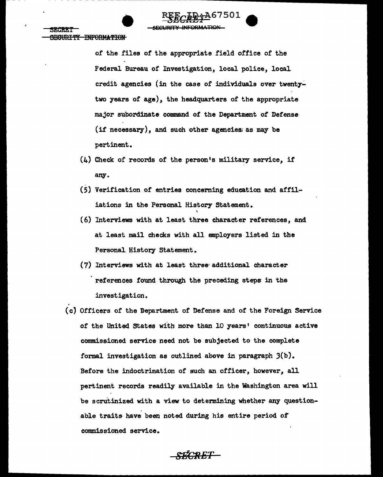**INFORMATION** 

of the files of the appropriate field office of the Federal Bureau of Investigation, local police, local credit agencies (in the case of individuals over twentytwo years of age), the headquarters of the appropriate major subordinate command of the Department of Defense (if necessary), and such other agencies as may be pertinent.

- $(4)$  Check of records of the person's military service, if any.
- (5) Verification of entries concerning education and affiliations in the Personal History Statement.
- (6) Interviews with at least three character references, and at least mail checks with all employers listed in the Personal History Statement.
- (7) Interviews with at least three additional character references found through the preceding steps in the investigation.
- (c) Officers of the Department of Defense and of the Foreign Service of the United States with more than 10 years' continuous active commissioned service need not be subjected to the complete formal investigation as outlined above in paragraph 3(b). Before the indoctrination of such an officer, however, all pertinent records readily available in the Washington area will be scrutinized with a view to determining whether any questionable traits have been noted during his entire period of commissioned service.

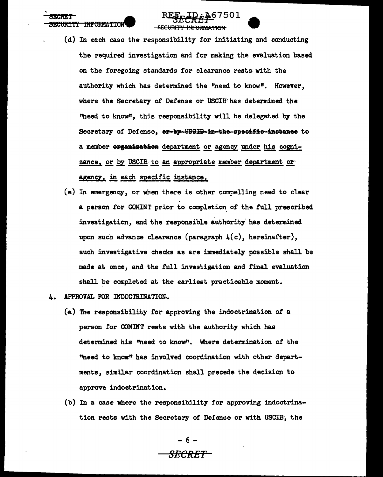**TNFORMATTON** 

- (d) In each case the responsibility for initiating and conducting the required investigation and for making the evaluation based on the foregoing standards for clearance rests with the authority which has determined the "need to know". However. where the Secretary of Defense or USCIB has determined the "need to know", this responsibility will be delegated by the Secretary of Defense, er-by-USGIB-in-the-specific-instance to a member erganisatien department or agency under his cognizance, or by USCIE to an appropriate member department or agency, in each specific instance,
- (e) In emergency, or when there is other compelling need to clear a person for COMINT prior to completion of the full prescribed investigation, and the responsible authority has determined upon such advance clearance (paragraph  $\mu(c)$ , hereinafter). such investigative checks as are immediately possible shall be made at once, and the full investigation and final evaluation shall be completed at the earliest practicable moment.
- APPROVAL FOR INDOCTRINATION. **L.** 
	- (a) The responsibility for approving the indoctrination of a person for COMINT rests with the authority which has determined his "need to know". Where determination of the "need to know" has involved coordination with other departments, similar coordination shall precede the decision to approve indoctrination.
	- (b) In a case where the responsibility for approving indoctrination rests with the Secretary of Defense or with USCIB, the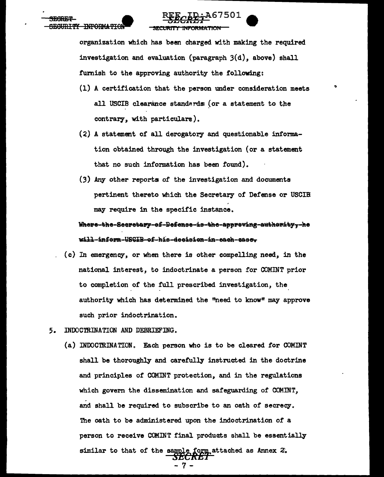organization which has been charged with making the required investigation and evaluation (paragraph  $3(d)$ , above) shall furnish to the approving authority the following:

- (1) A certification that the person under consideration meets all USCIB clearance standards (or a statement to the contrary, with particulars).
- (2) A statement of all derogatory and questionable information obtained through the investigation (or a statement that no such information has been found).
- (3) Any other reports of the investigation and documents pertinent thereto which the Secretary of Defense or USCIB may require in the specific instance.

<u> Where-the-Secretary-of-Defense-is-the-appreving-authority,-he</u> will-inform-USGIB-ef-his-decision-in-each-easer

- (c) In emergency, or when there is other compelling need, in the national interest, to indoctrinate a person for COMINT prior to completion of the full prescribed investigation, the authority which has determined the "need to know" may approve such prior indoctrination.
- 5. INDOCTRINATION AND DEBRIEFING.
	- (a) INDOCTRINATION. Each person who is to be cleared for COMINT shall be thoroughly and carefully instructed in the doctrine and principles of COMINT protection, and in the regulations which govern the dissemination and safeguarding of COMINT, and shall be required to subscribe to an oath of secrecy. The oath to be administered upon the indoctrination of a person to receive COMINT final products shall be essentially similar to that of the sample form attached as Annex 2.<br>
	SECRET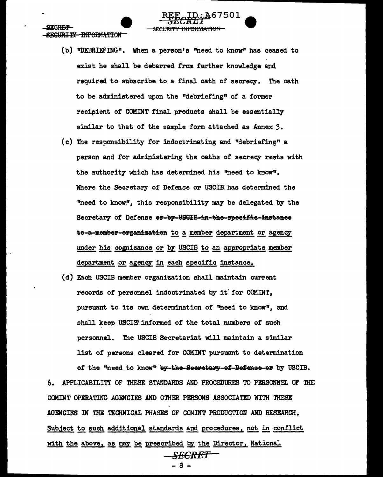**DITY INFORMATION** 

- (b) "DEBRIEFING". When a person's "need to know" has ceased to exist he shall be debarred from further knowledge and required to subscribe to a final oath of secrecy. The oath to be administered upon the "debriefing" of a former recipient of COMINT final products shall be essentially similar to that of the sample form attached as Annex 3.
- (c) The responsibility for indoctrinating and "debriefing" a person and for administering the oaths of secrecy rests with the authority which has determined his "need to know". Where the Secretary of Defense or USCIE has determined the "need to know.", this responsibility may be delegated by the Secretary of Defense er-by-USGIB-in-the-specific-instance te-a-member-erganisation to a member department or agency under his cognizance or by USCIB to an appropriate member department or agency in each specific instance.
- (d) Each USCIB member organization shall maintain current records of personnel indoctrinated by it for COMINT, pursuant to its own determination of "need to know", and shall keep USCIBE informed of the total numbers of such personnel. The USCIB Secretariat will maintain a similar list of persons cleared for COMINT pursuant to determination of the "need to know" by-the-Seeretary-ef-Befense-er by USCIB.

APPLICABILITY OF THESE STANDARDS AND PROCEDURES TO PERSONNEL OF THE 6. COMINT OPERATING AGENCIES AND OTHER PERSONS ASSOCIATED WITH THESE AGENCIES IN THE TECHNICAL PHASES OF COMINT PRODUCTION AND RESEARCH. Subject to such additional standards and procedures, not in conflict with the above, as may be prescribed by the Director, National -SECRET

. 8 -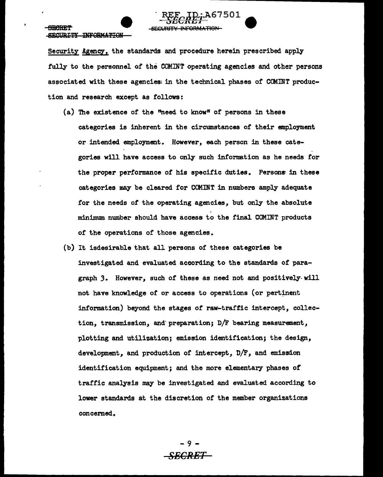#### SB<del>RART</del> SECURITY INFORMATION

Security Agency, the standards and procedure herein prescribed apply fully to the personnel *of* the OOMINT operating agencies and other persons associated with these agencies: in the technical phases of CCMINT production and research except as follows:

REE ID; A67501 REE TD. A67501<br>SECRET REGENTY INFORMATION

- (a) The existence of the "need to know" of persons in these categories is inherent in the circumstances of their employment or intended employment. However, each person in these categories will have access to only such information as he needs for the proper performance of his specific duties. Persons in these categories may be cleared for COMINT in numbers amply adequate for the needs *of* the operating agencies, but only the absolute minimum. number should have aceess: to the final COM.INT products or the operations or those agencies.
- (b) It isdesirable that all persons or these categories be investigated. and evaluated. according to the standards of paragraph *3.* However, such *of* these as need not and positively-will not have knowledge of or access to operations (or pertinent information) beyond the stages or raw-traftic intercept, collection, transmission, and· preparation; D/F bearing measurement, plotting and utilization; emission identification; the design, development, and production or intercept, D/F, and emission identification equipment; and the more elementary phases of traffic analysis may be investigated and evaluated according to lower standards at the discretion of the member organizations concemed.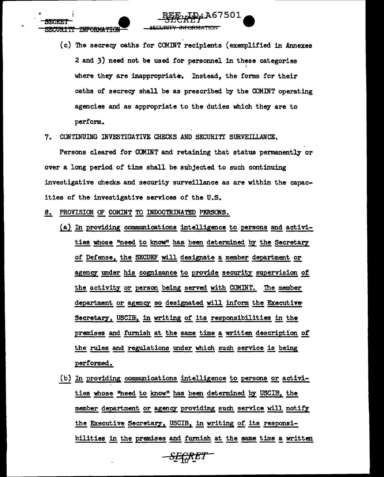**INFORMATION** 

(c) The secrecy oaths for COMINT recipients (exemplified in Annexes 2 and 3) need not be used for personnel in these categories where they are inappropriate. Instead, the forms for their oaths of secrecy shall be as prescribed by the COMINT operating agencies and as appropriate to the duties which they are to perform.

IRIT<del>Y INFORMATIO</del>

7. CONTINUING INVESTIGATIVE CHECKS AND SECURITY SURVEILLANCE.

Persons cleared for COMINT and retaining that status permanently or over a long period of time shall be subjected to such continuing investigative checks and security surveillance as are within the capacities of the investigative services of the U.S.

- 8. PROVISION OF COMINT TO INDOCTRINATED PERSONS.
	- (a) In providing communications intelligence to persons and activities whose "need to know" has been determined by the Secretary of Defense, the SECDEF will designate a member department or agency under his cognizance to provide security supervision of the activity or person being served with COMINT. The member department or agency so designated will inform the Executive Secretary, USCIE, in writing of its responsibilities in the premises and furnish at the same time a written description of the rules and regulations under which such service is being performed.
	- (b) In providing communications intelligence to persons or activities whose "need to know" has been determined by USCIB, the member department or agency providing such service will notify the Executive Secretary, USCIB, in writing of its responsibilities in the premises and furnish at the same time a written

-SEÇRET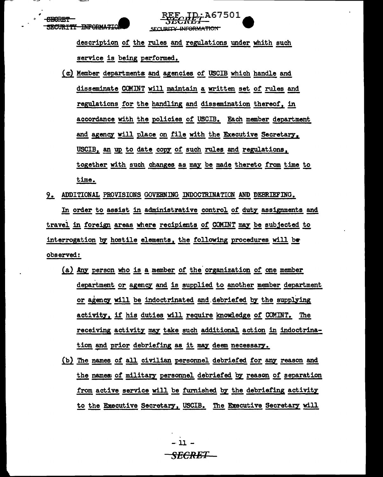description of the rules and regulations under whith such service is being performed.

SECURITY INFORMATION

**ITTY INFORMATION** 

 $ID; A67501$ 

- (c) Member departments and agencies of USCIB which handle and disseminate COMINT will maintain a written set of rules and regulations for the handling and dissemination thereof, in accordance with the policies of USCIB. Each member department and agency will place on file with the Executive Secretary, USCIB, an up to date copy of such rules and regulations, together with such changes as may be made thereto from time to time.
- 9. ADDITIONAL PROVISIONS GOVERNING INDOCTRINATION AND DEBRIEFING.

In order to assist in administrative control of duty assignments and travel in foreign areas where recipients of COMINT may be subjected to interrogation by hostile elements, the following procedures will be observed:

- (a) Any person who is a member of the organization of one member department or agency and is supplied to another member department or agency will be indoctrinated and debriefed by the supplying activity, if his duties will require knowledge of COMINT. The receiving activity may take such additional action in indoctrination and prior debriefing as it may deem necessary.
- (b) The names of all civilian personnel debriefed for any reason and the names of military personnel debriefed by reason of separation from active service will be furnished by the debriefing activity to the Executive Secretary, USCIB. The Executive Secretary will